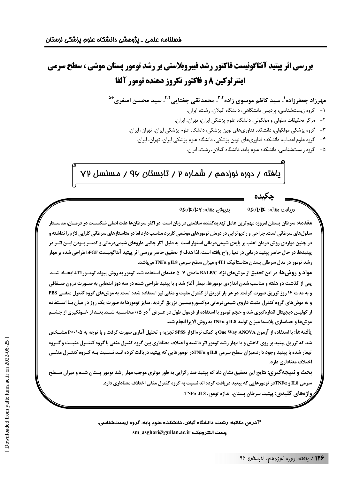## بررسی اثر پپتید آنتاگونیست فاکتور رشد فیبروبلاستی بر رشد تومور پستان موشی ، سطح سرمی **اينترلوكين 8 و فاكتور نكروز دهنده تومور آلفا**

مهرزاد جعفرزاده<sup>'</sup>، سید کاظم موسوی زاده<sup>۲۰۲</sup>، محمدتقی جغتایی<sup>۴۰۲</sup>، سید محسن اصغری<sup>ه ۵</sup>

- ۱- گروه زیستشناسی، پردیس دانشگاهی، دانشگاه گیلان، رشت، ایران.
- ٢- مركز تحقيقات سلولى و مولكولى، دانشگاه علوم پزشكى ايران، تهران، ايران.
- ۳- گروه پزشکی مولکولی، دانشکده فناوریهای نوین پزشکی، دانشگاه علوم پزشکی ایران، تهران، ایران.
	- ۴- گروه علوم اعصاب، دانشکده فناوریهای نوین پزشکی، دانشگاه علوم پزشکی ایران، تهران، ایران.
		- ۵- گروه زيستشناسي، دانشكده علوم پايه، دانشگاه گيلان، رشت، ايران.

# یافته / دوره نوزدهم / شماره ۲ / تابستان ۹۷ / مسلسل ۷۷

#### دريافت مقاله: QS/1/1C یذیرشی مقاله: ۹۶/۱۴/۳۲

مقدمه: سرطان پستان امروزه مهم ترین عامل تهدیدکننده سلامتی در زنان است. در اکثر سرطانها علت اصلی شکســت در درمــان، متاســتاز سلولهای سرطانی است. جراحی و رادیوتراپی در درمان تومورهای موضعی کاربرد مناسب دارد اما در متاستازهای سرطانی کارایی لازم را نداشته و در چنین مواردی روش درمان اغلب بر پایهی شیمیدرمانی استوار است .به دلیل آثار جانبی داروهای شیمیدرمانی و کمتــر بــودن ایــن اثــر در پبتیدها، در حال حاضر پپتید درمانی در دنیا رواج یافته است. لذا هدف از تحقیق حاضر بررسی اثر پپتید آنتاگونیست bFGF طراحی شده بر مهار رشد تومور در مدل سرطان پستان متاستاتیک 4T1 و میزان سطح سرمی IL8 و TNFa میباشد.

مواد و روش ها: در این تحقیق از موش های نژاد BALB/C مادهی ۷–۵ هفتهای استفاده شد. تومور به روش پیوند تومـور 4T1ایجـاد شــد. يس از گذشت دو هفته و مناسب شدن اندازهي تومورها، تيمار آغاز شد و با پيتيد طراحي شده در سه دوز انتخابي به صـورت درون صـفاقي و به مدت ۱۴ روز تزریق صورت گرفت. در هر بار تزریق از کنترل مثبت و منفی نیز استفاده شده است. به موش های گروه کنترل منفـی PBS و به موش های گروه کنترل مثبت داروی شیمیدرمانی دوکسوروبیسین تزریق گردید. سایز تومورها به صورت یک روز در میان بـا اســتفاده از کولیس دیجیتال اندازهگیری شد و حجم تومور با استفاده از فرمول طول در عـرض <sup>۲</sup> در ۲۰۵ محاســبه شــد. بعـد از خــونگیری از چشــم موش ها و جداسازی پلاسما میزان تولید IL8 و TNFa به روش الایزا انجام شد.

یافتهها: با استفاده از آزمون One Way ANOVA با کمک نرمافزار SPSS تجزیه و تحلیل آماری صورت گرفت و با توجه به ۲۰۰۵-۲ مشــخص شد که تزریق پپتید بر روی کاهش و یا مهار رشد تومور اثر داشته و اختلاف معناداری بین گروه کنترل منفی با گروه کنتـرل مثبـت و گـروه تیمار شده با پپتید وجود دارد.میزان سطح سرمی IL8 و TNFaنر تومورهایی که پپتید دریافت کرده انــد نســبت بــه گــروه کنتــرل منفــی اختلاف معناداري دارد.

بحث و نتیجهگیری: نتایج این تحقیق نشان داد که پپتید ضد رگزایی به طور موثری موجب مهار رشد تومور پستان شده و میزان ســطح سرمي IL8 و TNFαدر تومورهايي كه پپتيد دريافت كرده اند نسبت به گروه كنترل منفي اختلاف معناداري دارد.

رواژههای کلیدی: پیتید، سرطان پستان، اندازه تومور، TNFα ،IL8.

\*آدرس مکاتبه: رشت، دانشگاه گیلان، دانشکده علوم پایه، گروه زیستشناسی. sm\_asghari@guilan.ac.ir :يست الكترونيك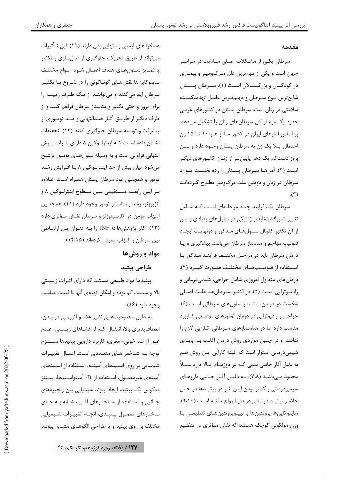#### مقدمه

سرطان یکے از مشـکلات اصـلی سـلامت در سراسـر جهان است و یکی از مهمترین علل مـرگ1میـر و بیمـاری در کودکــان و بزرگســالان اســت (۱). ســرطان پســتان شايعترين نـوع سـرطان و مهـمتـرين عامـل تهديدكننـده سلامتی در زنان است. سرطان پستان در کشورهای غربی حدود یکسوم از کل سرطانهای زنان را تشکیل میدهد. بر اساس آمارهای ایران در کشور مـا از هـر ١٠ تـا ١۵ زن احتمال ابتلا یک زن به سرطان پستان وجـود دارد و سـن بروز دستکم یک دهه پایینتر از زنـان کشـورهای دیگـر است (٢). آمارهـا سـرطان پسـتان را رده نخسـت مـوارد سرطان در زنان و دومین علت مرگ<code>ومیر مطـرح کـرده</code>انـد  $\mathcal{N}$ 

سرطان یک فرایند چنـد مرحلـهای اسـت کـه شـامل تغییرات برگشتناپذیر ژنتیکی در سلولهای بنیادی و پس از آن تکثیر کلونال سـلولهـای مـذکور و درنهایـت ایجـاد فنوتیپ مهاجم و متاستاز سرطان میباشد. پیشگیری و یا درمان سرطان باید در مراحـل مختلـف فراینـد مـذکور بـا استفاده از فنوتیسیههای مختلف صورت گیبرد (۴). درمانهای متداول امروزی شامل جراحی، شیمیدرمانی و رادیوتراپی است (۵). در اکثـر سـرطانهـا علـت اصـلی شکست در درمان، متاستاز سلولهای سرطانی است (۶). جراحی و رادیوتراپی در درمان تومورهای موضعی کـاربرد مناسب دارد اما در متاستازهای سرطانی کارایی لازم را نداشته و در چنین مواردی روش درمان اغلب بر پایهی شیمیدرمانی استوار است که البته کارایی ایـن روش هـم به دلیل آثار جانبی سمی کـه در دوزهـای بـالا دارد عمـلاً محدود مے باشـد (٧،٨). بـه دليـل آثـار جـانبي داروهـاي شیمی درمانی و کمتر بودن ایـن اثـر در پیتیـدها در حـال حاضر پیتید درمانی در دنیا رواج یافتـه اسـت (۹،۱۰). سايتوكاينها پروتئينها يا ليپىوپروتئينهـاى تنظيمـى بـا وزن مولکولی کوچک هستند که نقش مـؤثری در تنظـیم

عملکردهای ایمنی و التهابی بدن دارند (۱۱). این تـأثیرات می تواند از طریق تحریک، جلوگیری از فعالسازی و تکثیر يا تمـايز سـلولهـاي هـدف اعمـال شـود. انـواع مختلـف سایتوکاینها نقشهـای گونـاگونی را در شـروع یـا تکثیـر سرطان ایفا می کنند و می توانند از یک طرف زمینـه را برای بروز و حتی تکثیر و متاستاز سرطان فراهم کنند و از طرف دیگر از طریـق آثـار ضـدالتهابی و ضـد تومـوری از پیشرفت و توسعه سرطان جلوگیری کنند (١٢). تحقیقات نشـان داده اسـت كـه اينترلـوكين ٨ داراى اثـرات پـيش التهابی فراوانی است و به وسیله سلولهـای تومـور ترشـح میشود. بیان بیش از حد اینترلـوکین ۸ بـا افـزایش رشـد تومور و همچنین عود سرطان پستان همـراه اسـت. عـلاوه بـر ايـن رابطـه مسـتقيمي بـين سـطوح اينترلـوكين ٨ و آنژیوژنز، رشد و متاستاز تومور وجود دارد (۱۱). همچنـین التهاب مزمن در کارسینوژنز و سرطان نقش مؤثری دارد (۱۳). اکثر پژوهشها TNF-α را بـه عنـوان پـل ارتبـاطی بين سرطان و التهاب معرفي كردهاند (١۴،١۵).

### مواد و روش ها

#### طراحي ييتيد

پپتیدها مواد طبیعی هستند که دارای اثـرات زیسـتی بالا و سمیت کم بوده و امکان تهیهی آنها با قیمت مناسب وجود دارد (۱۶).

به دلیل محدودیتهایی نظیر هضـم آنزیمـی در بـدن، انعطاف پذیری بالا، انتقـال کـم از غشـاهای زیسـتی، عـدم عبور از سد خونی- مغزی، کاربرد دارویی پپتیدها مسـتلزم توجه بـه شـاخصهـاى متعـددى اسـت. اعمـال تغييـرات شیمیایی بر روی اسـیدهای آمینــه، اسـتفاده از اسـیدهای آمینهی غیرمعمـول، اسـتفاده از D- آمینواسـیدها، سـنتز معکوس یک پیتید، ایجاد پیوند شیمیایی بین زنجیرههای جـانبي و اسـتفاده از سـاختارهاي آلـي مشـابه بـه جـاي ساختارهای معمـول پیتیـدی، انجـام تغییـرات شـیمیایی مختلف بر روی پیتید و یا طراحی الگوهـای مشـابه پیونـد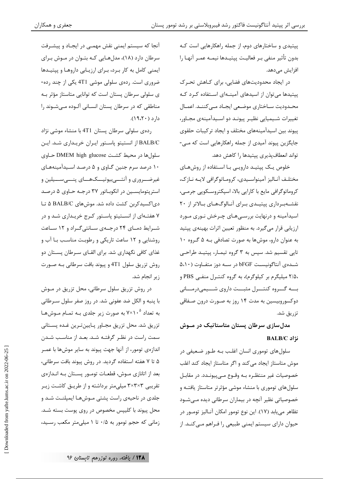پیتیدی و ساختارهای دوم، از جمله راهکارهایی است کـه بدون تأثير منفي بـر فعاليـت پپتيـدها نيمــه عمـر آنهــا را افزایش مے دھد.

در ایجاد محدودیتهای فضایی، برای کـاهش تحـرک پپتیدها میتوان از اسیدهای آمینهای استفاده کرد که محـدوديت سـاختاري موضـعي ايجـاد مـي كننــد. اعمــال تغییرات شـیمیایی نظیـر پیونـد دو اسـیدآمینهی مجـاور، پیوند بین اسیدآمینههای مختلف و ایجاد ترکیبات حلقوی جایگزین پیوند آمیدی از جمله راهکارهایی است که مـی-تواند انعطافپذیری پپتیدها را کاهش دهد.

خلوص یک پپتیـد دارویـی بـا اسـتفاده از روشهـای مختلـف آنـاليز آمينواسـيدي، كرومـاتوگرافي لايـه نـازك، کروماتوگرافی مایع با کارایی بالا، اسپکتروسـکویی جرمـی، نقشـهبـرداری پیتیـدی بـرای آنـالوگهـای بـالاتر از ۲۰ اسیدآمینه و درنهایت بررسے هـای چـرخش نـوری مـورد ارزیابی قرار می گیرد. به منظور تعیین اثرات بهینهی پیتید به عنوان دارو، موشها به صورت تصادفی بـه ۵ گـروه ۱۰ تایی تقسیم شد. سپس به ۳ گروه تیمـار، پپتیـد طراحـی شـده ی آنتاگونیسـت bFGF در سـه دوز متفـاوت (۵،۱۰ ،۲/۵ میلیگرم بر کیلوگرم)، به گروه کنتـرل منفـی PBS و بسه گسروه كنتسرل مثبست داروي شسيميدرمساني دوکسوروبیسین به مدت ۱۴ روز به صـورت درون صـفاقی تزريق شد.

مدلسازی سرطان پستان متاستاتیک در مــوش نژاد BALB/C

سلولهای توموری انسان اغلب بـه طـور ضـعیفی در موش متاستاز ایجاد می کند و اگر متاستاز ایجاد کند اغلب خصوصیات غیر منتظـره بـه وقـوع مـیپیونـدد. در مقابـل سلولهای توموری با منشاء موشی مؤثرتر متاستاز یافتـه و خصوصیاتی نظیر آنچه در بیماران سرطانی دیده مـیشـود تظاهر می یابد (١٧). این نوع تومور امکان آنـالیز تومـور در حیوان دارای سیستم ایمنی طبیعی را فـراهم مـی کنـد. از

آنجا که سیستم ایمنی نقش مهمـی در ایجـاد و پیشـرفت سرطان دارد (۱۸)، مدلهایی کـه بتـوان در مـوش بـرای ایمنی کامل به کار برد، برای ارزیابی داروها و پپتیدها ضروری است. ردهی سلولی موشی 4T1 یکی از چند رده-ی سلولی سرطان پستان است که توانایی متاستاز مؤثر بـه مناطقی که در سرطان پستان انسـانی آلـوده مـیشـوند را  $19.7 \cdot 0.6$ 

ردەي سلولى سرطان پستان 4T1 با منشاء موشى نژاد BALB/C از انستیتو پاستور ایـران خریـداری شـد. ایـن سلولها در محیط کشت DMEM high glucose حـاوی ۱۰ درصد سرم جنین گـاوی و ۵ درصـد اسـیدآمینههـای غیرضـــروری و آنتـــی بیوتیـــک&ـــای پنـــی ســـیلین و استرپتومایسین در انکوباتور ۳۷ درجـه حـاوی ۵ درصـد دی اکسیدکربن کشت داده شد. موش های BALB/C ۵ تا ۷ هفتـهای از انسـتیتو یاسـتور کـرج خریـداری شـد و در شیرایط دمیای ۲۴ درجیهی سیانتی گیراد و ۱۲ سیاعت روشنایی و ١٢ ساعت تاریکی و رطوبت مناسب با آب و غذای کافی نگهداری شد. برای القـای سـرطان پسـتان دو روش تزریق سلول 4T1 و پیوند بافت سرطانی بـه صـورت زير انجام شد.

در روش تزریق سلول سرطانی، محل تزریق در مـوش با پنبه و الکل ضد عفونی شد. در روز صفر سلول سـرطانی به تعداد °٬۱۰ به صورت زیر جلدی بـه تمـام مـوشهـا تزريق شد. محل تزريق مجـاور پـايينتـرين غـده پســتاني سمت راست در نظـر گرفتـه شـد. بعـد از مناسـب شـدن اندازهي تومور، از آنها جهت پيوند به ساير موشها با عمـر ۵ تا ۷ هفته استفاده گردید. در روش پیوند بافت سرطانی، بعد از اتانازی مـوش، قطعـات تومـور پسـتان بـه انـدازهی تقریبی ۳×۳×۳ میلی متر برداشته و از طریـق کاشـت زیـر جلدی در ناحیهی راست پشتی موشها ایمپلنت شد و محل پیوند با کلیپس مخصوص در روی پوست بسته شـد. زمانی که حجم تومور به ۰/۵ تا ۱ میلی متر مکعب رسید،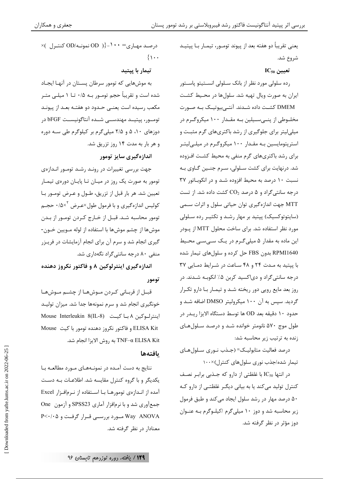یعنی تقریباً دو هفته بعد از پیوند تومـور، تیمـار بـا پیتیـد شروع شد.

 $IC_{50}$  تعيين

رده سلولی مورد نظر از بانک سـلولی انســتيتو پاســتور ایران به صورت ویال تهیه شد. سلولها در محـیط کشـت DMEM کشــت داده شــدند. آنتــیبیوتیــک بــه صــورت مخلـوطي از پنــيســيلين بــه مقــدار ۱۰۰ ميكروگــرم در میلیلیتر برای جلوگیری از رشد باکتریهای گرم مثبت و استرپتومایسین بـه مقـدار ۱۰۰ میکروگـرم در میلـیلیتـر برای رشد باکتریهای گرم منفی به محیط کشت افـزوده شد. درنهایت برای کشت سلولی، سـرم جنـین گـاوی بـه نسبت ١٠ درصد به محيط افزوده شـد و در انكوبـاتور ٣٧  $\rm C_{2}$  درجه سانتی گراد و ۵ درصد  $\rm CO_{2}$  کشت داده شد. از تست MTT جهت اندازهگیری توان حیاتی سلول و اثرات سـمی (سایتوتوکسیک) پپتید بر مهار رشد و تکثیـر رده سـلولی مورد نظر استفاده شد. برای ساخت محلول MTT از پودر این ماده به مقدار ۵ میلی گرم در یک سهیسی محیط RPMI1640 بدون FBS حل کرده و سلولهای تیمار شده با پیتید به مدت ٢۴ و ۴۸ ساعت در شرایط دمایی ٣٧ درجه سانتی گراد و دیاکسید کربن ۵٪ انکوبـه شـدند. در روز بعد مایع رویی دور ریخته شـد و تیمـار بـا دارو تكـرار گردید. سپس به آن ۱۰۰ میکرولیتر DMSO اضافه شـد و حدود ۱۰ دقیقه بعد OD ها توسط دستگاه الایزا ریـدر در طول موج ۵۷۰ نانومتر خوانده شـد و درصـد سـلولهـای زنده به ترتیب زیر محاسبه شد:

درصد فعاليت متابوليـك= (جـذب نــوري ســلولهــاي تیمار شده/جذب نوری سلولهای کنترل)×۱۰۰

در انتها IC50 با غلظتي از دارو كه جـذبي برابـر نصـف کنترل تولید می کند یا به بیانی دیگـر غلظتـی از دارو کـه ۵۰ درصد مهار در رشد سلول ایجاد میکند و طبق فرمول زیر محاسبه شد و دوز ۱۰ میلی گرم اکیلوگرم بـه عنـوان دوز مؤثر در نظر گرفته شد.

 $\times$ ( محمد مهباری $\cdot \cdot = \{-\}$  ( OD) نمونـه/OD کنتـرل )  $\{\cdot\cdot\cdot\}$ 

تیمار با پیتید

به موشهایی که تومور سرطان پستان در آنها ایجاد شده است و تقریباً حجم تومـور بـه ۰/۵ تــا ۱ میلــی متــر مکعب رسیده است یعنے حدود دو هفتـه بعـد از پیونـد تومــور، پپتيــد مهندســي شــده آنتاگونيســت bFGF در دوزهای ۱۰، ۵ و ۲/۵ میلی گرم بر کیلوگرم طی سـه دوره و هر بار به مدت ۱۴ روز تزریق شد.

#### اندازهگیری سایز تومور

جهت بررسی تغییرات در رونـد رشـد تومـور انـدازهی تومور به صورت یک روز در میـان تـا پایـان دورەی تیمـار تعيين شد. هر بار قبل از تزريق، طـول و عـرض تومـور بـا کولیس اندازهگیری و با فرمول طول×عـرض  $\sqrt{^\times}$ ۰ حجـم تومور محاسبه شـد. قبـل از خــارج كــردن تومــور از بــدن موشها از چشم موشها با استفاده از لوله مـويين خـون-گیری انجام شد و سرم آن برای انجام آزمایشات در فریـزر منفی ۸۰ درجه سانتی گراد نگهداری شد.

اندازه گیری اینترلوکین ۸ و فاکتور نکروز دهنده تومور

قبل از قربانی کردن موشها از چشم موشها خونگیری انجام شد و سرم نمونهها جدا شد. میزان تولیـد اینترلوکین ۸ بـا کیـت (Mouse Interleukin 8(IL-8 ELISA Kit و فاكتور نكروز دهنده تومور با كيت Mouse TNF-α ELISA Kit به روش الايزا انجام شد.

#### بافتهها

نتایج به دست آمـده در نمونـههـای مـورد مطالعـه بـا یکدیگر و با گروه کنترل مقایسه شد. اطلاعـات بـه دسـت آمده از انـدازهي تومورهـا بـا اسـتفاده از نـرمافـزار Excel جمع آوري شد و با نرمافزار آماري SPSS23 و آزمون One Way ANOVA مورد بررسبی قبرار گرفت و P<٠/٠۵ معنادار در نظر گرفته شد.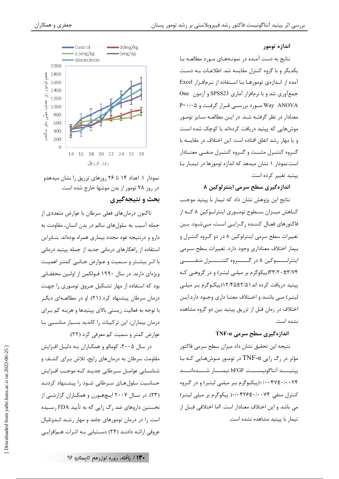#### اندازه تومور

نتایج به دست آمـده در نمونـههـای مـورد مطالعـه بـا یکدیگر و با گروه کنترل مقایسه شد. اطلاعـات بـه دسـت آمده از انـدازەی تومورهــا بــا اســتفاده از نــرمافــزار Excel جمع آوری شد و با نرمافزار آماری SPSS23 و آزمون One Way ANOVA مــورد بررســی قــرار گرفــت و P<٠/٠۵ معنادار در نظر گرفتـه شـد. در ايـن مطالعـه سـايز تومـور موش هایی که پیتید دریافت کردهاند یا کوچک شده است و يا مهار رشد اتفاق افتاده است .اين اختلاف در مقايسه با گروه کنترل مثبت و گروه کنترل منفیی معنـادار است.نمودار ۱ نشان میدهد که اندازه تومورها در تیمـار بـا ييتيد تغيير كرده است.

#### اندازهگیری سطح سرمی اینترلوکین ۸

نتايج اين پژوهش نشان داد كه تيمار با پيتيد موجب کــاهش میــزان ســطوح تومــوری اینترلــوکین ۸ کــه از فاکتورهای فعـال کننــده رگ;ایــی اسـت، مــیشــود. بــین تغییرات سطح سرمی اینترلوکین ۸ در دو گـروه کنتـرل و بیمار اختلاف معناداری وجود دارد. تغییرات سطح سـرمی اينترلـــــوكين ٨ در گـــــروه كنتـــــرل منفـــــى ۳۳/۲۰±۳/۷۴(پیکوگرم بر میلی لیتر) و در گروهی که پیتید دریافت کرده اند ۱۲/۴۵±۱۲/۴۵(پیکوگرم بـر میلـی لیتـر) مـی باشـد و اخـتلاف معنــا داری وجــود دارد.ایــن اختلاف در زمان قبل از تزریق پیتید بین دو گروه مشاهده نشده است.

#### TNF- $\alpha$  اندازہ گیری سطح سرمے

نتيجه اين تحقيق نشان داد ميزان سطح سرمي فاكتور مؤثر در رگ زایی TNF- $\alpha$  در تومـور مـوش $\alpha$ ـایی کـه بـا ييتيــــد آنتاگونيســــت bFGF تيمـــــا, شـــــدەانــــد ۰/۰۰۴۷±۰/۰۰۴۷(پیکوگرم بر میلے لیتر) و در گروه کنترل منفی ۰/۰۴۲۶±۰/۰۴۲۶ پیکوگرم بر میلی لیتـر) می باشد و این اختلاف معنادار است. ااما اختلافی قبـل از تیمار با پیتید مشاهده نشده است.



نمودار ۱. اعداد ۱۴ تا ۲۶ روزهای تزریق را نشان میدهدو در روز ۲۸ تومور از بدن موشها خارج شده است. بحث و نتیجهگیری

تاکنون درمانهای فعلی سرطان با عوارض متعددی از جمله آسيب به سلولهاي سالم در بدن انسان، مقاومت به دارو و درنتیجه عود مجدد بیماری همراه بودهاند. بنـابراین استفاده از راهکارهای درمانی جدید از جمله پیتید درمانی با اثـر بیشـتر و سـمیت و عـوارض جـانبی کمتـر اهمیـت ویژهای دارند. در سال ۱۹۹۰ فـولکمن از اولـین محققـانی بود که استفاده از مهار تشکیل عـروق تومـوری را جهـت درمان سرطان پیشنهاد کرد (۲۱). او در مطالعـهای دیگـر با توجه به فعالیت زیستی بالای پیتیدها و هزینه کم بـرای درمان بیماران، این ترکیبات را کاندید بسـیار مناسـبی بـا عوارض کمتر و سمیت کم معرفی کرد (۲۲).

در سال ۲۰۰۵، کومالو و همکـاران بـه دليـل افـزايش مقاومت سرطان به درمانهای رایج، تلاش بـرای کشـف و شناســايي عوامــل ســرطاني جديــد كــه موجــب افــزايش حساسیت سلول هـای سـرطانی شـود را پیشـنهاد کردنـد (۲۳). در سـال ۲۰۰۷ ایـچهـورن و همکـاران گزارشــی از نخستین داروهای ضد <sub>د</sub>گ زایی که به تأیید FDA رسـیده است را در درمان تومورهای جامد و مهار رشـد انـدوتلیال عروقی ارائــه دادنــد (۲۴) دســتيابي بــه اثــرات هــمافزايــي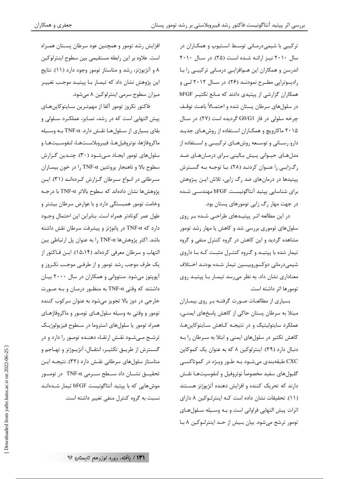جعفري و همكاران

ترکیبی با شیمی درمـانی توسـط اسـتیوپ و همکـاران در سال ۲۰۱۰ نیـز ارائـه شـده اسـت (۲۵). در سـال ۲۰۱۰ اندرسن و همکاران این هـمافزایـی درمـانی ترکیبـی را بـا رادیـوتراپی مطـرح نمودنـد (۲۶). در سـال ۲۰۱۲ لــی و همکاران گزارشی از پپتیدی دادند که مـانع تکثیـر bFGF در سلولهای سرطان پستان شده و احتمـالاً باعـث توقـف چرخه سلولی در فاز G0/G1 گردیده است (۲۷). در سال ۲۰۱۵ ماکارویچ و همکـاران اسـتفاده از روشهـای جدیـد دارو رسـانی و توسـعه روشهـای ترکیبــی و اسـتفاده از مدلهای حیـوانی پـیش بـالینی بـرای درمـانهـای ضـد رگزایی را عنوان کردند (۲۸). با توجـه بـه گسـترش پیتیدها در درمانهای ضد رگ زایی، تلاش ایـن پـژوهش برای شناسایی پیتید آنتاگونیست bFGF مهندسے شده در جهت مهار رگ زایی تومورهای پستان بود.

در این مطالعه اثـر پیتیـدهای طراحـی شـده بـر روی سلول های توموری بررسی شد و کاهش یا مهار رشد تومور مشاهده گردید و این کاهش در گروه کنترل منفی و گروه تیمار شده با پیتیـد و گـروه کنتـرل مثبـت کـه بـا داروی شيمي درماني دوكسوروبيسين تيمار شـده بودنـد اخـتلاف معناداری نشان داد. به نظر می رسد تیمـار بـا پپتیـد روی تومورها اثر داشته است.

بسیاری از مطالعـات صـورت گرفتـه بـر روی بیمـاران مبتلا به سرطان پستان حاکی از کاهش پاسخهای ایمنـی، عملکرد سایتولیتیک و در نتیجـه کـاهش سـایتوکاینهـا، کاهش تکثیر در سلولهای ایمنی و ابتلا به سـرطان را بـه دنبال دارد (۲۹). اینترلوکین ۸ که به عنوان یک کموکاین CXC طبقهبندی می شــود بــه طــور ویــژه در کموتاکســی گلبولهای سفید مخصوصاً نوتروفیل و لنفوسیتهـا نقـش دارند که تحریک کننده و افزایش دهنده آنژیوژنز هسـتند (١١). تحقیقات نشان داده است کـه اینترلوکین ٨ دارای اثرات پیش التهابی فراوانی است و بـه وسـیله سـلولهـای تومور ترشح می شود. بیان بیش از حد اینترلوکین ۸ با

افزایش رشد تومور و همچنین عود سرطان پستان همـراه است. علاوه بر این رابطه مستقیمی بین سطوح اینترلوکین ۸ و آنژیوژنز، رشد و متاستاز تومور وجود دارد (۱۱). نتایج این پژوهش نشان داد که تیمـار بـا پیتیـد موجـب تغییـر میزان سطوح سرمی اینترلوکین ۸ میشود.

فاكتور نكروز تومور آلفا از مهمترين سـايتوكاين اى پیش التهابی است که در رشد، تمـایز، عملکـرد سـلولی و بقای بسیاری از سلولها نقش دارد. TNF-α به وسیله ماكروفاژها، نوتروفيلهـا، فيبروبلاسـتهـا، لنفوسـيتهـا و سلول های تومور ایجـاد مـیشـود (۳۰). چنـدین گـزارش سطوح بالا و ناهنجار پروتئین TNF-α را در خون بیمـاران سرطانی در انواع سرطان گزارش کردهاند (۳۱). این يژوهش ها نشان دادهاند كه سطوح بالاتر TNF-α با درجـه وخامت تومور همبستگی دارد و با عوارض سرطان بیشتر و طول عمر كوتاهتر همراه است. بنابراين اين احتمال وجـود  $\epsilon$ دار د که  $\text{TNF-}\alpha$  در یاتوژنز و پیشرفت سرطان نقش داشته باشد. اکثر پژوهشها TNF-α را به عنوان پل ارتباطی بین التهاب و سرطان معرفی کردهاند (۱۵،۱۴). این فاکتور از یک طرف موجب رشد تومور و از طرفے موجب نکـروز و آپوپتوز میشود. منتووانی و همکاران در سال ۲۰۰۰ بیـان داشتند که وقتی TNF- $\alpha$  به منظـور درمـان و بـه صـورت خارجی در دوز بالا تجویز میشود به عنوان سرکوب کننده تومور و وقتی به وسیله سلولهـای تومـور و ماکروفاژهـای همراه تومور یا سلولهای استروما در سـطوح فیزیولوژیـک ترشـح مـی شـود نقـش ارتقـاء دهنـده تومـور را دارد و در گســترش از طريــق تكثيــر، انتقــال، آنژيــوژنز و تهــاجم و متاستاز سلول های سرطانی نقش دارد (۳۲). نتیجـه ایـن تحقیـــق نشـــان داد ســـطح ســـرمی TNF-α در تومـــور موش هایی که با پیتید آنتاگونیست bFGF تیمار شـدهانـد نسبت به گروه کنترل منفی تغییر داشته است.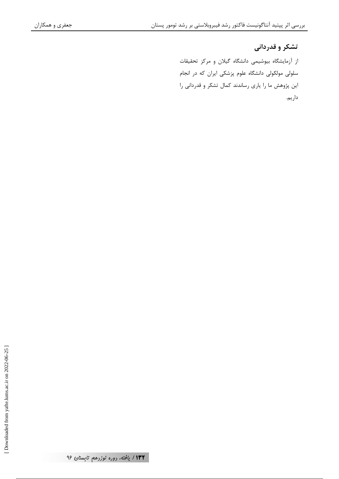#### تشکر و قدردانی

از آزمایشگاه بیوشیمی دانشگاه گیلان و مرکز تحقیقات سلولی مولکولی دانشگاه علوم پزشکی ایران که در انجام این پژوهش ما را یاری رساندند کمال تشکر و قدردانی را داريم.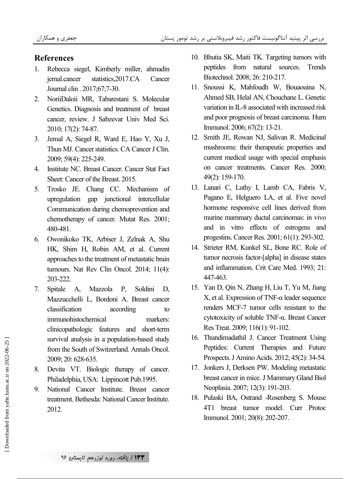#### **References**

- 1. Rebecca siegel, Kimberly miller, ahmadin jemal.cancer statistics,2017.CA Cancer Journal clin . 2017;67;7-30.
- 2. NoriiDaloii MR, Tabarestani S. Molecular Genetics. Diagnosis and treatment of breast cancer, review. J Sabzevar Univ Med Sci. 2010; 17(2): 74-87.
- 3. Jemal A, Siegel R, Ward E, Hao Y, Xu J, Thun MJ. Cancer statistics. CA Cancer J Clin. 2009; 59(4): 225-249.
- 4. Institute NC. Breast Cancer. Cancer Stat Fact Sheet: Cancer of the Breast. 2015.
- 5. Trosko JE. Chang CC. Mechanism of upregulation gap junctional intercellular Communication during chemoprevention and chemotherapy of cancer. Mutat Res. 2001; 480-481.
- 6. Owonikoko TK, Arbiser J, Zelnak A, Shu HK, Shim H, Robin AM, et al. Current approaches to the treatment of metastatic brain tumours. Nat Rev Clin Oncol. 2014; 11(4): 203-222.
- 7. Spitale A, Mazzola P, Soldini D, Mazzucchelli L, Bordoni A. Breast cancer classification according to immunohistochemical markers: clinicopathologic features and short-term survival analysis in a population-based study from the South of Switzerland. Annals Oncol. 2009; 20: 628-635.
- 8. Devita VT. Biologic therapy of cancer. Philadelphia, USA: Lippincott Pub.1995.
- 9. National Cancer Institute. Breast cancer treatment. Bethesda: National Cancer Institute. 2012.
- 10. Bhutia SK, Maiti TK. Targeting tumors with peptides from natural sources. Trends Biotechnol. 2008; 26: 210-217.
- 11. Snoussi K, Mahfoudh W, Bouaouina N, Ahmed SB, Helal AN, Chouchane L. Genetic variation in IL-8 associated with increased risk and poor prognosis of breast carcinoma. Hum Immunol. 2006; 67(2): 13-21.
- 12. Smith JE, Rowan NJ, Salivan R. Medicinal mushrooms: their therapeutic properties and current medical usage with special emphasis on cancer treatments. Cancer Res. 2000; 49(2): 159-170.
- 13. Lanari C, Luthy I, Lamb CA, Fabris V, Pagano E, Helguero LA, et al. Five novel hormone responsive cell lines derived from murine mammary ductal carcinomas: in vivo and in vitro effects of estrogens and progestins. Cancer Res. 2001; 61(1): 293-302.
- 14. Strieter RM, Kunkel SL, Bone RC. Role of tumor necrosis factor-[alpha] in disease states and inflammation. Crit Care Med. 1993; 21: 447-463.
- 15. Yan D, Qin N, Zhang H, Liu T, Yu M, Jiang X, et al. Expression of TNF-α leader sequence renders MCF-7 tumor cells resistant to the cytotoxicity of soluble TNF-α. Breast Cancer Res Treat. 2009; 116(1): 91-102.
- 16. Thundimadathil J. Cancer Treatment Using Peptides: Current Therapies and Future Prospects. J Amino Acids. 2012; 45(2): 34-54.
- 17. Jonkers J, Derksen PW. Modeling metastatic breast cancer in mice. J Mammary Gland Biol Neoplasia. 2007; 12(3): 191-203.
- 18. Pulaski BA, Ostrand -Rosenberg S. Mouse 4T1 breast tumor model. Curr Protoc Immunol. 2001; 20(8): 202-207.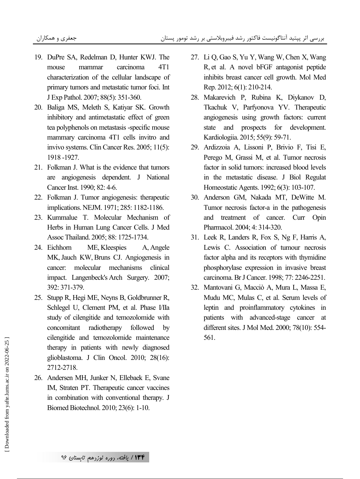- 19. DuPre SA, Redelman D, Hunter KWJ. The mouse mammar carcinoma 4T1 characterization of the cellular landscape of primary tumors and metastatic tumor foci. Int J Exp Pathol. 2007; 88(5): 351-360.
- 20. Baliga MS, Meleth S, Katiyar SK. Growth inhibitory and antimetastatic effect of green tea polyphenols on metastasis -specific mouse mammary carcinoma 4T1 cells invitro and invivo systems. Clin Cancer Res. 2005; 11(5): 1918 -1927.
- 21. Folkman J. What is the evidence that tumors are angiogenesis dependent. J National Cancer Inst. 1990; 82: 4-6.
- 22. Folkman J. Tumor angiogenesis: therapeutic implications. NEJM. 1971; 285: 1182-1186.
- 23. Kummalue T. Molecular Mechanism of Herbs in Human Lung Cancer Cells. J Med Assoc Thailand. 2005; 88: 1725-1734.
- 24. Eichhorn ME, Kleespies A, Angele MK, Jauch KW, Bruns CJ. Angiogenesis in cancer: molecular mechanisms clinical impact. Langenbeck's Arch Surgery. 2007; 392: 371-379.
- 25. Stupp R, Hegi ME, Neyns B, Goldbrunner R, Schlegel U, Clement PM, et al. Phase I/IIa study of cilengitide and temozolomide with concomitant radiotherapy followed by cilengitide and temozolomide maintenance therapy in patients with newly diagnosed glioblastoma. J Clin Oncol. 2010; 28(16): 2712-2718.
- 26. Andersen MH, Junker N, Ellebaek E, Svane IM, Straten PT. Therapeutic cancer vaccines in combination with conventional therapy. J Biomed Biotechnol. 2010; 23(6): 1-10.
- 27. Li Q, Gao S, Yu Y, Wang W, Chen X, Wang R, et al. A novel bFGF antagonist peptide inhibits breast cancer cell growth. Mol Med Rep. 2012; 6(1): 210-214.
- 28. Makarevich P, Rubina K, Diykanov D, Tkachuk V, Parfyonova YV. Therapeutic angiogenesis using growth factors: current state and prospects for development. Kardiologiia. 2015; 55(9): 59-71.
- 29. Ardizzoia A, Lissoni P, Brivio F, Tisi E, Perego M, Grassi M, et al. Tumor necrosis factor in solid tumors: increased blood levels in the metastatic disease. J Biol Regulat Homeostatic Agents. 1992; 6(3): 103-107.
- 30. Anderson GM, Nakada MT, DeWitte M. Tumor necrosis factor-a in the pathogenesis and treatment of cancer. Curr Opin Pharmacol. 2004; 4: 314-320.
- 31. Leek R, Landers R, Fox S, Ng F, Harris A, Lewis C. Association of tumour necrosis factor alpha and its receptors with thymidine phosphorylase expression in invasive breast carcinoma. Br J Cancer. 1998; 77: 2246-2251.
- 32. Mantovani G, Macciò A, Mura L, Massa E, Mudu MC, Mulas C, et al. Serum levels of leptin and proinflammatory cytokines in patients with advanced-stage cancer at different sites. J Mol Med. 2000; 78(10): 554- 561.